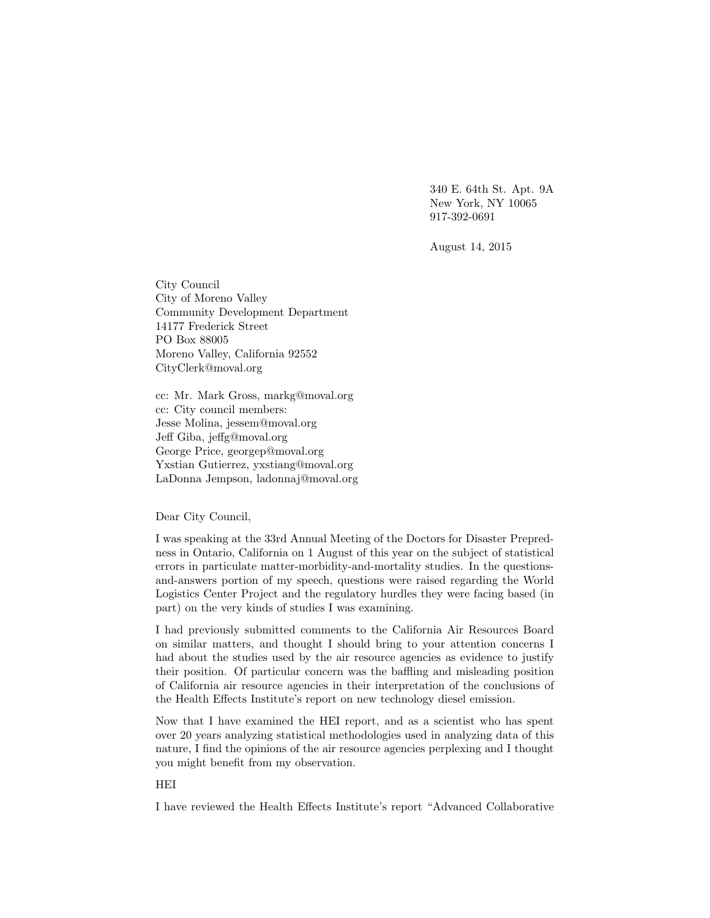340 E. 64th St. Apt. 9A New York, NY 10065 917-392-0691

August 14, 2015

City Council City of Moreno Valley Community Development Department 14177 Frederick Street PO Box 88005 Moreno Valley, California 92552 CityClerk@moval.org

cc: Mr. Mark Gross, markg@moval.org cc: City council members: Jesse Molina, jessem@moval.org Jeff Giba, jeffg@moval.org George Price, georgep@moval.org Yxstian Gutierrez, yxstiang@moval.org LaDonna Jempson, ladonnaj@moval.org

Dear City Council,

I was speaking at the 33rd Annual Meeting of the Doctors for Disaster Prepredness in Ontario, California on 1 August of this year on the subject of statistical errors in particulate matter-morbidity-and-mortality studies. In the questionsand-answers portion of my speech, questions were raised regarding the World Logistics Center Project and the regulatory hurdles they were facing based (in part) on the very kinds of studies I was examining.

I had previously submitted comments to the California Air Resources Board on similar matters, and thought I should bring to your attention concerns I had about the studies used by the air resource agencies as evidence to justify their position. Of particular concern was the baffling and misleading position of California air resource agencies in their interpretation of the conclusions of the Health Effects Institute's report on new technology diesel emission.

Now that I have examined the HEI report, and as a scientist who has spent over 20 years analyzing statistical methodologies used in analyzing data of this nature, I find the opinions of the air resource agencies perplexing and I thought you might benefit from my observation.

# HEI

I have reviewed the Health Effects Institute's report "Advanced Collaborative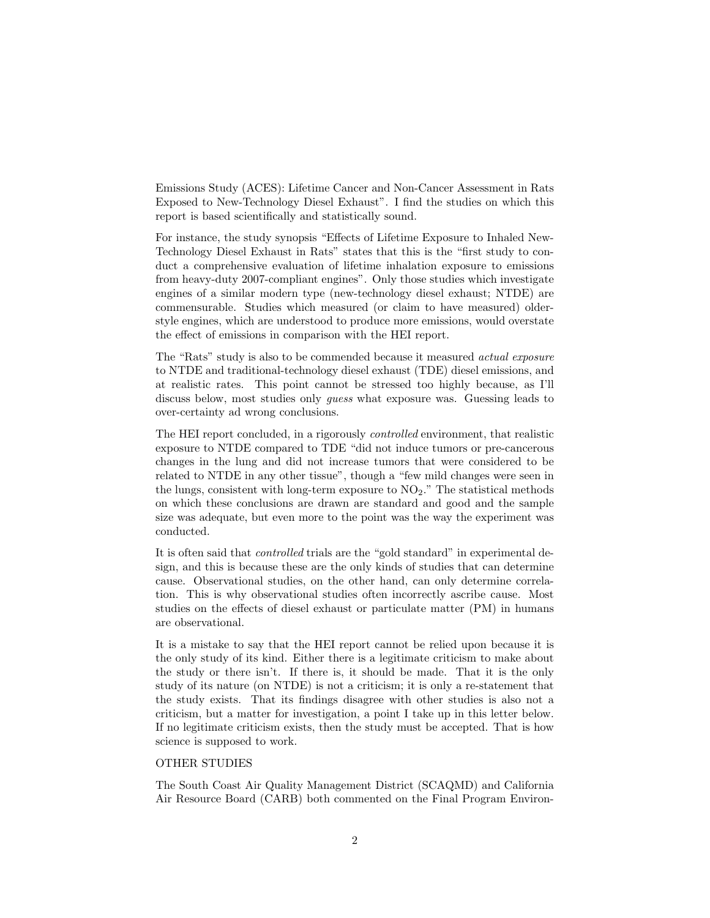Emissions Study (ACES): Lifetime Cancer and Non-Cancer Assessment in Rats Exposed to New-Technology Diesel Exhaust". I find the studies on which this report is based scientifically and statistically sound.

For instance, the study synopsis "Effects of Lifetime Exposure to Inhaled New-Technology Diesel Exhaust in Rats" states that this is the "first study to conduct a comprehensive evaluation of lifetime inhalation exposure to emissions from heavy-duty 2007-compliant engines". Only those studies which investigate engines of a similar modern type (new-technology diesel exhaust; NTDE) are commensurable. Studies which measured (or claim to have measured) olderstyle engines, which are understood to produce more emissions, would overstate the effect of emissions in comparison with the HEI report.

The "Rats" study is also to be commended because it measured *actual exposure* to NTDE and traditional-technology diesel exhaust (TDE) diesel emissions, and at realistic rates. This point cannot be stressed too highly because, as I'll discuss below, most studies only *guess* what exposure was. Guessing leads to over-certainty ad wrong conclusions.

The HEI report concluded, in a rigorously controlled environment, that realistic exposure to NTDE compared to TDE "did not induce tumors or pre-cancerous changes in the lung and did not increase tumors that were considered to be related to NTDE in any other tissue", though a "few mild changes were seen in the lungs, consistent with long-term exposure to  $NO<sub>2</sub>$ ." The statistical methods on which these conclusions are drawn are standard and good and the sample size was adequate, but even more to the point was the way the experiment was conducted.

It is often said that controlled trials are the "gold standard" in experimental design, and this is because these are the only kinds of studies that can determine cause. Observational studies, on the other hand, can only determine correlation. This is why observational studies often incorrectly ascribe cause. Most studies on the effects of diesel exhaust or particulate matter (PM) in humans are observational.

It is a mistake to say that the HEI report cannot be relied upon because it is the only study of its kind. Either there is a legitimate criticism to make about the study or there isn't. If there is, it should be made. That it is the only study of its nature (on NTDE) is not a criticism; it is only a re-statement that the study exists. That its findings disagree with other studies is also not a criticism, but a matter for investigation, a point I take up in this letter below. If no legitimate criticism exists, then the study must be accepted. That is how science is supposed to work.

### OTHER STUDIES

The South Coast Air Quality Management District (SCAQMD) and California Air Resource Board (CARB) both commented on the Final Program Environ-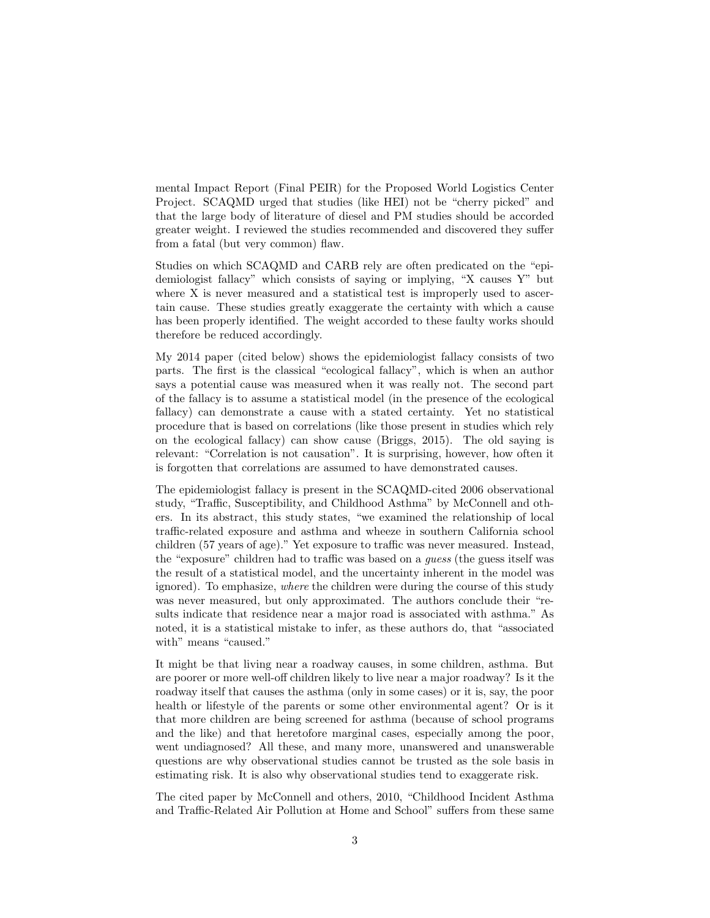mental Impact Report (Final PEIR) for the Proposed World Logistics Center Project. SCAQMD urged that studies (like HEI) not be "cherry picked" and that the large body of literature of diesel and PM studies should be accorded greater weight. I reviewed the studies recommended and discovered they suffer from a fatal (but very common) flaw.

Studies on which SCAQMD and CARB rely are often predicated on the "epidemiologist fallacy" which consists of saying or implying, "X causes Y" but where X is never measured and a statistical test is improperly used to ascertain cause. These studies greatly exaggerate the certainty with which a cause has been properly identified. The weight accorded to these faulty works should therefore be reduced accordingly.

My 2014 paper (cited below) shows the epidemiologist fallacy consists of two parts. The first is the classical "ecological fallacy", which is when an author says a potential cause was measured when it was really not. The second part of the fallacy is to assume a statistical model (in the presence of the ecological fallacy) can demonstrate a cause with a stated certainty. Yet no statistical procedure that is based on correlations (like those present in studies which rely on the ecological fallacy) can show cause (Briggs, 2015). The old saying is relevant: "Correlation is not causation". It is surprising, however, how often it is forgotten that correlations are assumed to have demonstrated causes.

The epidemiologist fallacy is present in the SCAQMD-cited 2006 observational study, "Traffic, Susceptibility, and Childhood Asthma" by McConnell and others. In its abstract, this study states, "we examined the relationship of local traffic-related exposure and asthma and wheeze in southern California school children (57 years of age)." Yet exposure to traffic was never measured. Instead, the "exposure" children had to traffic was based on a guess (the guess itself was the result of a statistical model, and the uncertainty inherent in the model was ignored). To emphasize, where the children were during the course of this study was never measured, but only approximated. The authors conclude their "results indicate that residence near a major road is associated with asthma." As noted, it is a statistical mistake to infer, as these authors do, that "associated with" means "caused."

It might be that living near a roadway causes, in some children, asthma. But are poorer or more well-off children likely to live near a major roadway? Is it the roadway itself that causes the asthma (only in some cases) or it is, say, the poor health or lifestyle of the parents or some other environmental agent? Or is it that more children are being screened for asthma (because of school programs and the like) and that heretofore marginal cases, especially among the poor, went undiagnosed? All these, and many more, unanswered and unanswerable questions are why observational studies cannot be trusted as the sole basis in estimating risk. It is also why observational studies tend to exaggerate risk.

The cited paper by McConnell and others, 2010, "Childhood Incident Asthma and Traffic-Related Air Pollution at Home and School" suffers from these same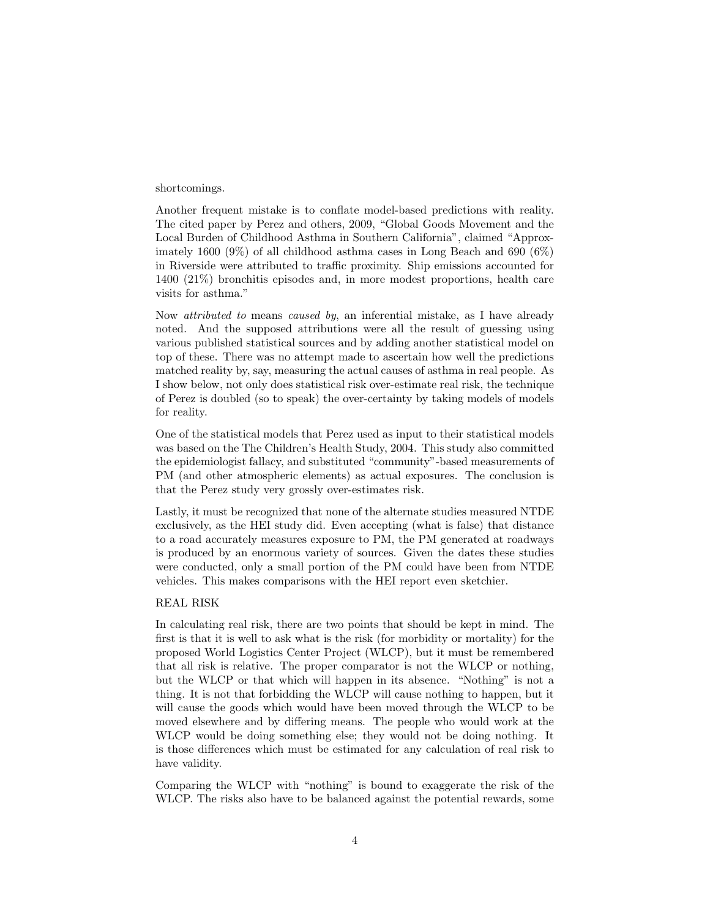#### shortcomings.

Another frequent mistake is to conflate model-based predictions with reality. The cited paper by Perez and others, 2009, "Global Goods Movement and the Local Burden of Childhood Asthma in Southern California", claimed "Approximately 1600 (9%) of all childhood asthma cases in Long Beach and 690 (6%) in Riverside were attributed to traffic proximity. Ship emissions accounted for 1400 (21%) bronchitis episodes and, in more modest proportions, health care visits for asthma."

Now attributed to means caused by, an inferential mistake, as I have already noted. And the supposed attributions were all the result of guessing using various published statistical sources and by adding another statistical model on top of these. There was no attempt made to ascertain how well the predictions matched reality by, say, measuring the actual causes of asthma in real people. As I show below, not only does statistical risk over-estimate real risk, the technique of Perez is doubled (so to speak) the over-certainty by taking models of models for reality.

One of the statistical models that Perez used as input to their statistical models was based on the The Children's Health Study, 2004. This study also committed the epidemiologist fallacy, and substituted "community"-based measurements of PM (and other atmospheric elements) as actual exposures. The conclusion is that the Perez study very grossly over-estimates risk.

Lastly, it must be recognized that none of the alternate studies measured NTDE exclusively, as the HEI study did. Even accepting (what is false) that distance to a road accurately measures exposure to PM, the PM generated at roadways is produced by an enormous variety of sources. Given the dates these studies were conducted, only a small portion of the PM could have been from NTDE vehicles. This makes comparisons with the HEI report even sketchier.

### REAL RISK

In calculating real risk, there are two points that should be kept in mind. The first is that it is well to ask what is the risk (for morbidity or mortality) for the proposed World Logistics Center Project (WLCP), but it must be remembered that all risk is relative. The proper comparator is not the WLCP or nothing, but the WLCP or that which will happen in its absence. "Nothing" is not a thing. It is not that forbidding the WLCP will cause nothing to happen, but it will cause the goods which would have been moved through the WLCP to be moved elsewhere and by differing means. The people who would work at the WLCP would be doing something else; they would not be doing nothing. It is those differences which must be estimated for any calculation of real risk to have validity.

Comparing the WLCP with "nothing" is bound to exaggerate the risk of the WLCP. The risks also have to be balanced against the potential rewards, some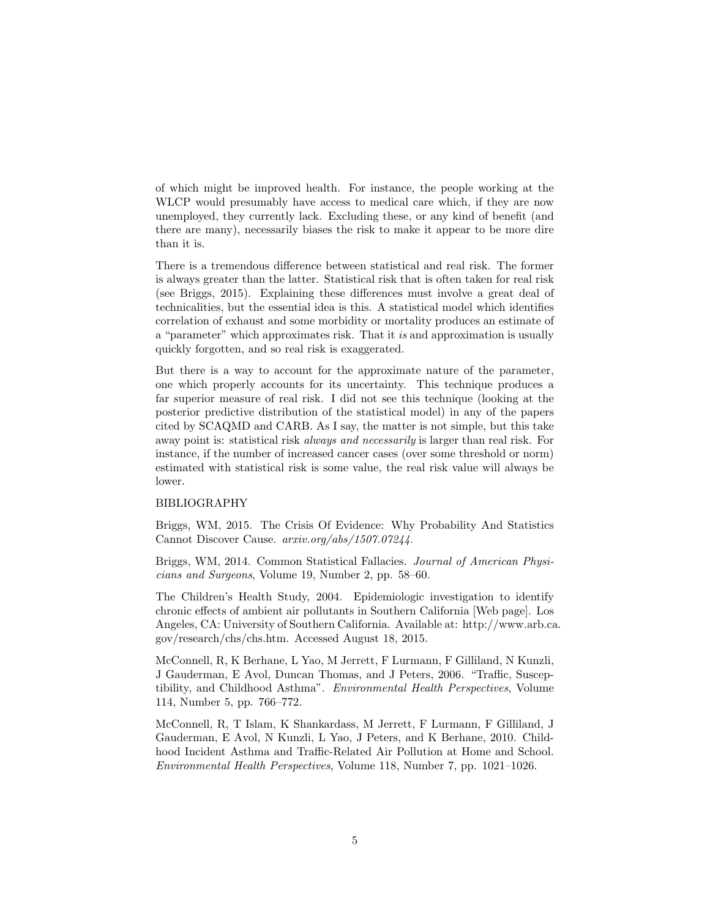of which might be improved health. For instance, the people working at the WLCP would presumably have access to medical care which, if they are now unemployed, they currently lack. Excluding these, or any kind of benefit (and there are many), necessarily biases the risk to make it appear to be more dire than it is.

There is a tremendous difference between statistical and real risk. The former is always greater than the latter. Statistical risk that is often taken for real risk (see Briggs, 2015). Explaining these differences must involve a great deal of technicalities, but the essential idea is this. A statistical model which identifies correlation of exhaust and some morbidity or mortality produces an estimate of a "parameter" which approximates risk. That it is and approximation is usually quickly forgotten, and so real risk is exaggerated.

But there is a way to account for the approximate nature of the parameter, one which properly accounts for its uncertainty. This technique produces a far superior measure of real risk. I did not see this technique (looking at the posterior predictive distribution of the statistical model) in any of the papers cited by SCAQMD and CARB. As I say, the matter is not simple, but this take away point is: statistical risk *always and necessarily* is larger than real risk. For instance, if the number of increased cancer cases (over some threshold or norm) estimated with statistical risk is some value, the real risk value will always be lower.

### BIBLIOGRAPHY

Briggs, WM, 2015. The Crisis Of Evidence: Why Probability And Statistics Cannot Discover Cause. arxiv.org/abs/1507.07244.

Briggs, WM, 2014. Common Statistical Fallacies. Journal of American Physicians and Surgeons, Volume 19, Number 2, pp. 58–60.

The Children's Health Study, 2004. Epidemiologic investigation to identify chronic effects of ambient air pollutants in Southern California [Web page]. Los Angeles, CA: University of Southern California. Available at: http://www.arb.ca. gov/research/chs/chs.htm. Accessed August 18, 2015.

McConnell, R, K Berhane, L Yao, M Jerrett, F Lurmann, F Gilliland, N Kunzli, J Gauderman, E Avol, Duncan Thomas, and J Peters, 2006. "Traffic, Susceptibility, and Childhood Asthma". Environmental Health Perspectives, Volume 114, Number 5, pp. 766–772.

McConnell, R, T Islam, K Shankardass, M Jerrett, F Lurmann, F Gilliland, J Gauderman, E Avol, N Kunzli, L Yao, J Peters, and K Berhane, 2010. Childhood Incident Asthma and Traffic-Related Air Pollution at Home and School. Environmental Health Perspectives, Volume 118, Number 7, pp. 1021–1026.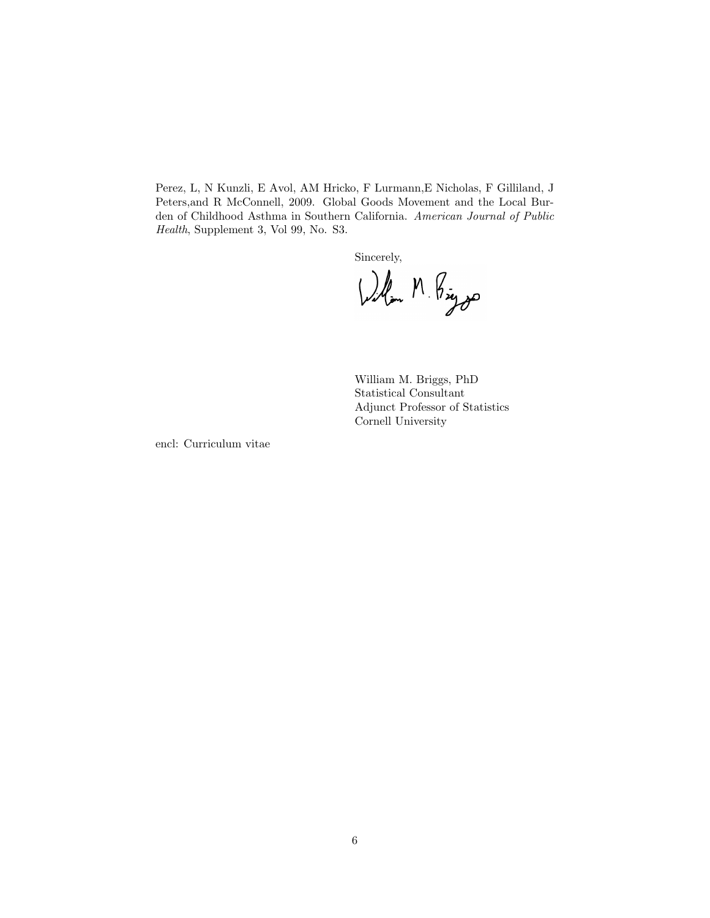Perez, L, N Kunzli, E Avol, AM Hricko, F Lurmann,E Nicholas, F Gilliland, J Peters,and R McConnell, 2009. Global Goods Movement and the Local Burden of Childhood Asthma in Southern California. American Journal of Public Health, Supplement 3, Vol 99, No. S3.

Sincerely,

William M. Briggs, PhD Statistical Consultant Adjunct Professor of Statistics Cornell University

encl: Curriculum vitae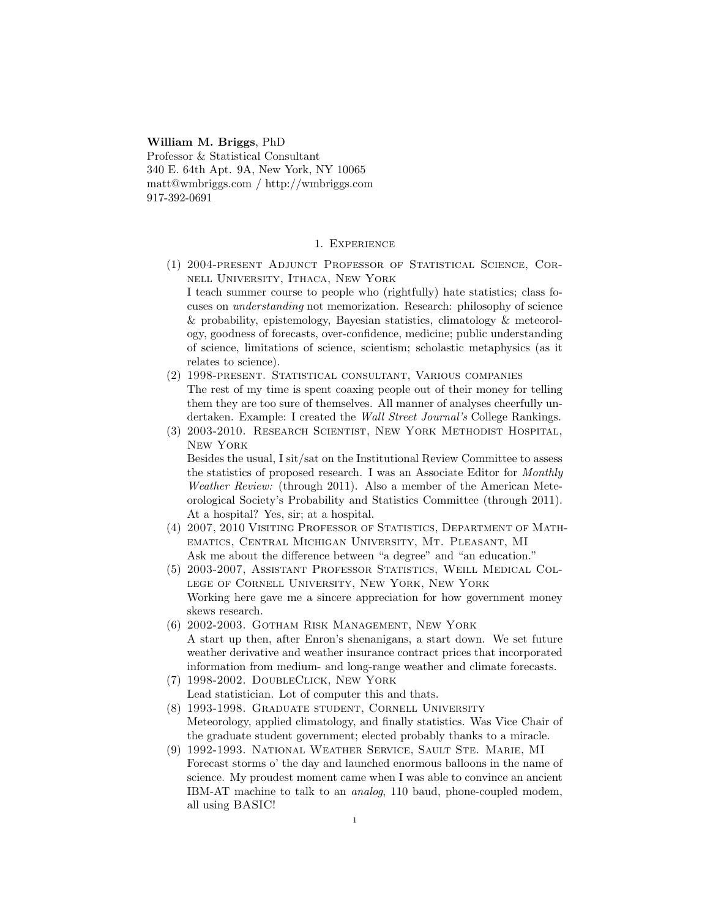William M. Briggs, PhD Professor & Statistical Consultant 340 E. 64th Apt. 9A, New York, NY 10065 matt@wmbriggs.com / http://wmbriggs.com 917-392-0691

#### 1. Experience

- (1) 2004-present Adjunct Professor of Statistical Science, Cornell University, Ithaca, New York I teach summer course to people who (rightfully) hate statistics; class focuses on understanding not memorization. Research: philosophy of science & probability, epistemology, Bayesian statistics, climatology & meteorology, goodness of forecasts, over-confidence, medicine; public understanding of science, limitations of science, scientism; scholastic metaphysics (as it relates to science).
- (2) 1998-present. Statistical consultant, Various companies The rest of my time is spent coaxing people out of their money for telling them they are too sure of themselves. All manner of analyses cheerfully undertaken. Example: I created the Wall Street Journal's College Rankings.
- (3) 2003-2010. Research Scientist, New York Methodist Hospital, New York

Besides the usual, I sit/sat on the Institutional Review Committee to assess the statistics of proposed research. I was an Associate Editor for Monthly Weather Review: (through 2011). Also a member of the American Meteorological Society's Probability and Statistics Committee (through 2011). At a hospital? Yes, sir; at a hospital.

- (4) 2007, 2010 Visiting Professor of Statistics, Department of Mathematics, Central Michigan University, Mt. Pleasant, MI Ask me about the difference between "a degree" and "an education."
- (5) 2003-2007, Assistant Professor Statistics, Weill Medical College of Cornell University, New York, New York Working here gave me a sincere appreciation for how government money skews research.
- (6) 2002-2003. Gotham Risk Management, New York A start up then, after Enron's shenanigans, a start down. We set future weather derivative and weather insurance contract prices that incorporated information from medium- and long-range weather and climate forecasts.
- (7) 1998-2002. DoubleClick, New York Lead statistician. Lot of computer this and thats.
- (8) 1993-1998. Graduate student, Cornell University Meteorology, applied climatology, and finally statistics. Was Vice Chair of the graduate student government; elected probably thanks to a miracle.
- (9) 1992-1993. National Weather Service, Sault Ste. Marie, MI Forecast storms o' the day and launched enormous balloons in the name of science. My proudest moment came when I was able to convince an ancient IBM-AT machine to talk to an analog, 110 baud, phone-coupled modem, all using BASIC!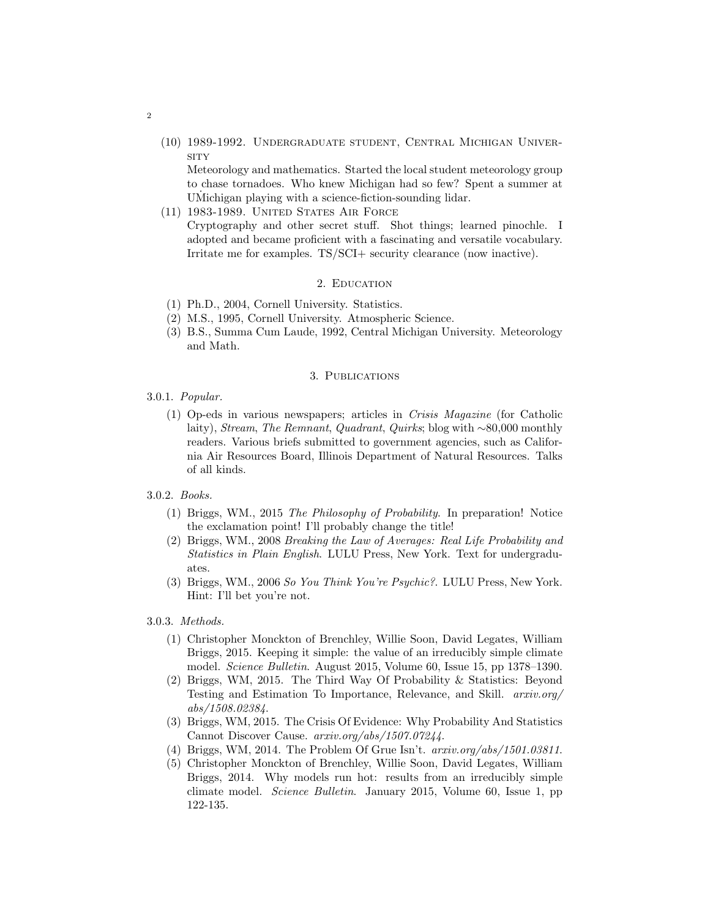(10) 1989-1992. Undergraduate student, Central Michigan Univer-**SITY** 

Meteorology and mathematics. Started the local student meteorology group to chase tornadoes. Who knew Michigan had so few? Spent a summer at UMichigan playing with a science-fiction-sounding lidar.

(11) 1983-1989. United States Air Force

Cryptography and other secret stuff. Shot things; learned pinochle. I adopted and became proficient with a fascinating and versatile vocabulary. Irritate me for examples. TS/SCI+ security clearance (now inactive).

## 2. Education

- (1) Ph.D., 2004, Cornell University. Statistics.
- (2) M.S., 1995, Cornell University. Atmospheric Science.
- (3) B.S., Summa Cum Laude, 1992, Central Michigan University. Meteorology and Math.

## 3. Publications

- 3.0.1. Popular.
	- (1) Op-eds in various newspapers; articles in Crisis Magazine (for Catholic laity), Stream, The Remnant, Quadrant, Quirks; blog with ∼80,000 monthly readers. Various briefs submitted to government agencies, such as California Air Resources Board, Illinois Department of Natural Resources. Talks of all kinds.
- 3.0.2. Books.
	- (1) Briggs, WM., 2015 The Philosophy of Probability. In preparation! Notice the exclamation point! I'll probably change the title!
	- (2) Briggs, WM., 2008 Breaking the Law of Averages: Real Life Probability and Statistics in Plain English. LULU Press, New York. Text for undergraduates.
	- (3) Briggs, WM., 2006 So You Think You're Psychic?. LULU Press, New York. Hint: I'll bet you're not.

3.0.3. Methods.

- (1) Christopher Monckton of Brenchley, Willie Soon, David Legates, William Briggs, 2015. Keeping it simple: the value of an irreducibly simple climate model. Science Bulletin. August 2015, Volume 60, Issue 15, pp 1378–1390.
- (2) Briggs, WM, 2015. The Third Way Of Probability & Statistics: Beyond Testing and Estimation To Importance, Relevance, and Skill. arxiv.org/ abs/1508.02384.
- (3) Briggs, WM, 2015. The Crisis Of Evidence: Why Probability And Statistics Cannot Discover Cause. arxiv.org/abs/1507.07244.
- (4) Briggs, WM, 2014. The Problem Of Grue Isn't.  $arxiv.org/abs/1501.03811$ .
- (5) Christopher Monckton of Brenchley, Willie Soon, David Legates, William Briggs, 2014. Why models run hot: results from an irreducibly simple climate model. Science Bulletin. January 2015, Volume 60, Issue 1, pp 122-135.

2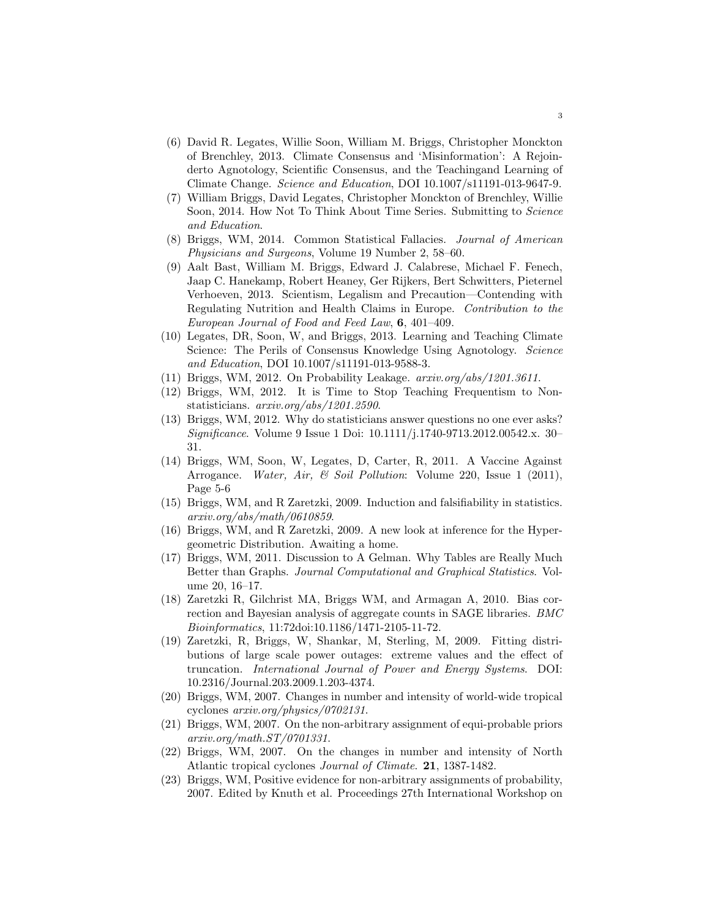- (6) David R. Legates, Willie Soon, William M. Briggs, Christopher Monckton of Brenchley, 2013. Climate Consensus and 'Misinformation': A Rejoinderto Agnotology, Scientific Consensus, and the Teachingand Learning of Climate Change. Science and Education, DOI 10.1007/s11191-013-9647-9.
- (7) William Briggs, David Legates, Christopher Monckton of Brenchley, Willie Soon, 2014. How Not To Think About Time Series. Submitting to *Science* and Education.
- (8) Briggs, WM, 2014. Common Statistical Fallacies. Journal of American Physicians and Surgeons, Volume 19 Number 2, 58–60.
- (9) Aalt Bast, William M. Briggs, Edward J. Calabrese, Michael F. Fenech, Jaap C. Hanekamp, Robert Heaney, Ger Rijkers, Bert Schwitters, Pieternel Verhoeven, 2013. Scientism, Legalism and Precaution—Contending with Regulating Nutrition and Health Claims in Europe. Contribution to the European Journal of Food and Feed Law, 6, 401–409.
- (10) Legates, DR, Soon, W, and Briggs, 2013. Learning and Teaching Climate Science: The Perils of Consensus Knowledge Using Agnotology. Science and Education, DOI 10.1007/s11191-013-9588-3.
- (11) Briggs, WM, 2012. On Probability Leakage.  $arxiv.org/abs/1201.3611$ .
- (12) Briggs, WM, 2012. It is Time to Stop Teaching Frequentism to Nonstatisticians. arxiv.org/abs/1201.2590.
- (13) Briggs, WM, 2012. Why do statisticians answer questions no one ever asks? Significance. Volume 9 Issue 1 Doi: 10.1111/j.1740-9713.2012.00542.x. 30– 31.
- (14) Briggs, WM, Soon, W, Legates, D, Carter, R, 2011. A Vaccine Against Arrogance. Water, Air, & Soil Pollution: Volume 220, Issue 1 (2011), Page 5-6
- (15) Briggs, WM, and R Zaretzki, 2009. Induction and falsifiability in statistics. arxiv.org/abs/math/0610859.
- (16) Briggs, WM, and R Zaretzki, 2009. A new look at inference for the Hypergeometric Distribution. Awaiting a home.
- (17) Briggs, WM, 2011. Discussion to A Gelman. Why Tables are Really Much Better than Graphs. Journal Computational and Graphical Statistics. Volume 20, 16–17.
- (18) Zaretzki R, Gilchrist MA, Briggs WM, and Armagan A, 2010. Bias correction and Bayesian analysis of aggregate counts in SAGE libraries. BMC Bioinformatics, 11:72doi:10.1186/1471-2105-11-72.
- (19) Zaretzki, R, Briggs, W, Shankar, M, Sterling, M, 2009. Fitting distributions of large scale power outages: extreme values and the effect of truncation. International Journal of Power and Energy Systems. DOI: 10.2316/Journal.203.2009.1.203-4374.
- (20) Briggs, WM, 2007. Changes in number and intensity of world-wide tropical cyclones arxiv.org/physics/0702131.
- (21) Briggs, WM, 2007. On the non-arbitrary assignment of equi-probable priors arxiv.org/math.ST/0701331.
- (22) Briggs, WM, 2007. On the changes in number and intensity of North Atlantic tropical cyclones Journal of Climate. 21, 1387-1482.
- (23) Briggs, WM, Positive evidence for non-arbitrary assignments of probability, 2007. Edited by Knuth et al. Proceedings 27th International Workshop on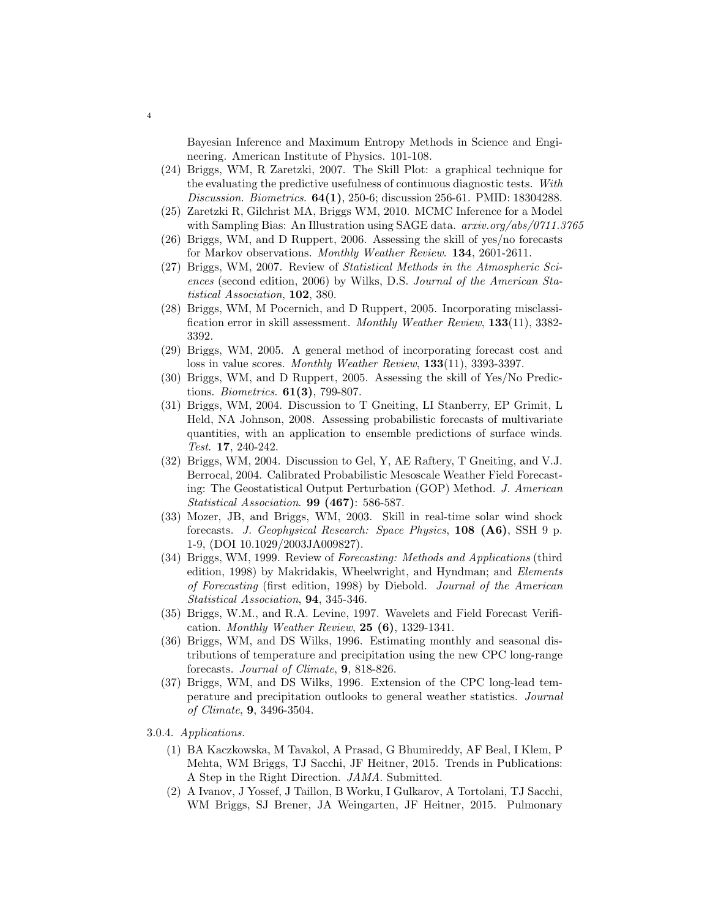Bayesian Inference and Maximum Entropy Methods in Science and Engineering. American Institute of Physics. 101-108.

- (24) Briggs, WM, R Zaretzki, 2007. The Skill Plot: a graphical technique for the evaluating the predictive usefulness of continuous diagnostic tests. With Discussion. Biometrics. 64(1), 250-6; discussion 256-61. PMID: 18304288.
- (25) Zaretzki R, Gilchrist MA, Briggs WM, 2010. MCMC Inference for a Model with Sampling Bias: An Illustration using SAGE data.  $arxiv.org/abs/0711.3765$
- (26) Briggs, WM, and D Ruppert, 2006. Assessing the skill of yes/no forecasts for Markov observations. Monthly Weather Review. 134, 2601-2611.
- (27) Briggs, WM, 2007. Review of Statistical Methods in the Atmospheric Sciences (second edition, 2006) by Wilks, D.S. Journal of the American Statistical Association, 102, 380.
- (28) Briggs, WM, M Pocernich, and D Ruppert, 2005. Incorporating misclassification error in skill assessment. Monthly Weather Review, 133(11), 3382-3392.
- (29) Briggs, WM, 2005. A general method of incorporating forecast cost and loss in value scores. Monthly Weather Review, 133(11), 3393-3397.
- (30) Briggs, WM, and D Ruppert, 2005. Assessing the skill of Yes/No Predictions. Biometrics.  $61(3)$ , 799-807.
- (31) Briggs, WM, 2004. Discussion to T Gneiting, LI Stanberry, EP Grimit, L Held, NA Johnson, 2008. Assessing probabilistic forecasts of multivariate quantities, with an application to ensemble predictions of surface winds. Test. 17, 240-242.
- (32) Briggs, WM, 2004. Discussion to Gel, Y, AE Raftery, T Gneiting, and V.J. Berrocal, 2004. Calibrated Probabilistic Mesoscale Weather Field Forecasting: The Geostatistical Output Perturbation (GOP) Method. J. American Statistical Association. 99 (467): 586-587.
- (33) Mozer, JB, and Briggs, WM, 2003. Skill in real-time solar wind shock forecasts. J. Geophysical Research: Space Physics, 108 (A6), SSH 9 p. 1-9, (DOI 10.1029/2003JA009827).
- (34) Briggs, WM, 1999. Review of Forecasting: Methods and Applications (third edition, 1998) by Makridakis, Wheelwright, and Hyndman; and Elements of Forecasting (first edition, 1998) by Diebold. Journal of the American Statistical Association, 94, 345-346.
- (35) Briggs, W.M., and R.A. Levine, 1997. Wavelets and Field Forecast Verification. Monthly Weather Review,  $25(6)$ , 1329-1341.
- (36) Briggs, WM, and DS Wilks, 1996. Estimating monthly and seasonal distributions of temperature and precipitation using the new CPC long-range forecasts. Journal of Climate, 9, 818-826.
- (37) Briggs, WM, and DS Wilks, 1996. Extension of the CPC long-lead temperature and precipitation outlooks to general weather statistics. Journal of Climate, 9, 3496-3504.
- 3.0.4. Applications.

4

- (1) BA Kaczkowska, M Tavakol, A Prasad, G Bhumireddy, AF Beal, I Klem, P Mehta, WM Briggs, TJ Sacchi, JF Heitner, 2015. Trends in Publications: A Step in the Right Direction. JAMA. Submitted.
- (2) A Ivanov, J Yossef, J Taillon, B Worku, I Gulkarov, A Tortolani, TJ Sacchi, WM Briggs, SJ Brener, JA Weingarten, JF Heitner, 2015. Pulmonary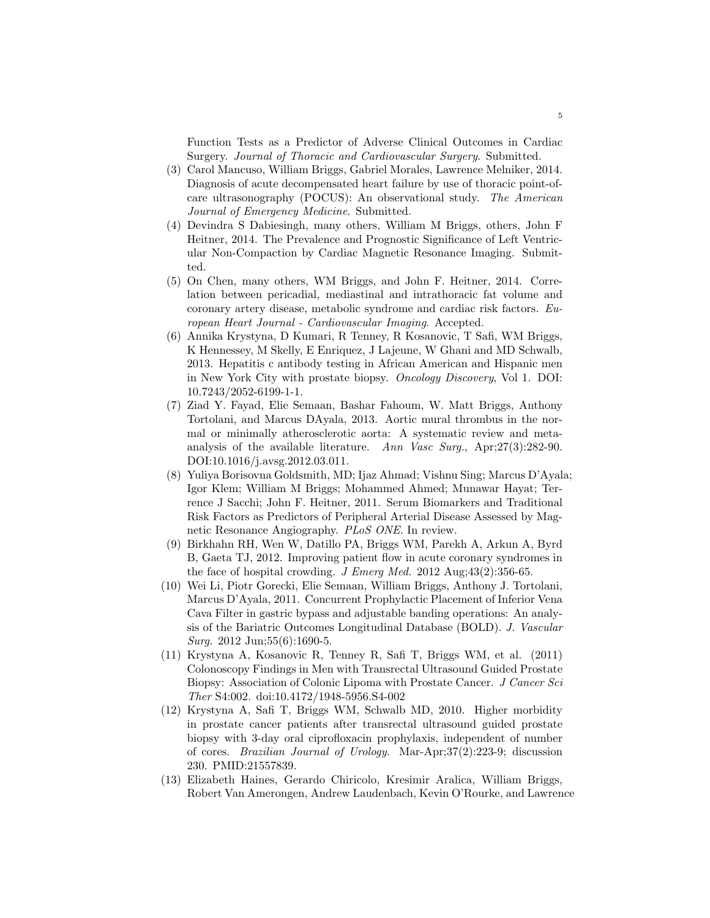Function Tests as a Predictor of Adverse Clinical Outcomes in Cardiac Surgery. Journal of Thoracic and Cardiovascular Surgery. Submitted.

- (3) Carol Mancuso, William Briggs, Gabriel Morales, Lawrence Melniker, 2014. Diagnosis of acute decompensated heart failure by use of thoracic point-ofcare ultrasonography (POCUS): An observational study. The American Journal of Emergency Medicine. Submitted.
- (4) Devindra S Dabiesingh, many others, William M Briggs, others, John F Heitner, 2014. The Prevalence and Prognostic Significance of Left Ventricular Non-Compaction by Cardiac Magnetic Resonance Imaging. Submitted.
- (5) On Chen, many others, WM Briggs, and John F. Heitner, 2014. Correlation between pericadial, mediastinal and intrathoracic fat volume and coronary artery disease, metabolic syndrome and cardiac risk factors. European Heart Journal - Cardiovascular Imaging. Accepted.
- (6) Annika Krystyna, D Kumari, R Tenney, R Kosanovic, T Safi, WM Briggs, K Hennessey, M Skelly, E Enriquez, J Lajeune, W Ghani and MD Schwalb, 2013. Hepatitis c antibody testing in African American and Hispanic men in New York City with prostate biopsy. Oncology Discovery, Vol 1. DOI: 10.7243/2052-6199-1-1.
- (7) Ziad Y. Fayad, Elie Semaan, Bashar Fahoum, W. Matt Briggs, Anthony Tortolani, and Marcus DAyala, 2013. Aortic mural thrombus in the normal or minimally atherosclerotic aorta: A systematic review and metaanalysis of the available literature. Ann Vasc Surg., Apr;27(3):282-90. DOI:10.1016/j.avsg.2012.03.011.
- (8) Yuliya Borisovna Goldsmith, MD; Ijaz Ahmad; Vishnu Sing; Marcus D'Ayala; Igor Klem; William M Briggs; Mohammed Ahmed; Munawar Hayat; Terrence J Sacchi; John F. Heitner, 2011. Serum Biomarkers and Traditional Risk Factors as Predictors of Peripheral Arterial Disease Assessed by Magnetic Resonance Angiography. PLoS ONE. In review.
- (9) Birkhahn RH, Wen W, Datillo PA, Briggs WM, Parekh A, Arkun A, Byrd B, Gaeta TJ, 2012. Improving patient flow in acute coronary syndromes in the face of hospital crowding. J Emerg Med. 2012 Aug; $43(2):356-65$ .
- (10) Wei Li, Piotr Gorecki, Elie Semaan, William Briggs, Anthony J. Tortolani, Marcus D'Ayala, 2011. Concurrent Prophylactic Placement of Inferior Vena Cava Filter in gastric bypass and adjustable banding operations: An analysis of the Bariatric Outcomes Longitudinal Database (BOLD). J. Vascular *Surg.* 2012 Jun;  $55(6)$ : 1690-5.
- (11) Krystyna A, Kosanovic R, Tenney R, Safi T, Briggs WM, et al. (2011) Colonoscopy Findings in Men with Transrectal Ultrasound Guided Prostate Biopsy: Association of Colonic Lipoma with Prostate Cancer. J Cancer Sci Ther S4:002. doi:10.4172/1948-5956.S4-002
- (12) Krystyna A, Safi T, Briggs WM, Schwalb MD, 2010. Higher morbidity in prostate cancer patients after transrectal ultrasound guided prostate biopsy with 3-day oral ciprofloxacin prophylaxis, independent of number of cores. Brazilian Journal of Urology. Mar-Apr;37(2):223-9; discussion 230. PMID:21557839.
- (13) Elizabeth Haines, Gerardo Chiricolo, Kresimir Aralica, William Briggs, Robert Van Amerongen, Andrew Laudenbach, Kevin O'Rourke, and Lawrence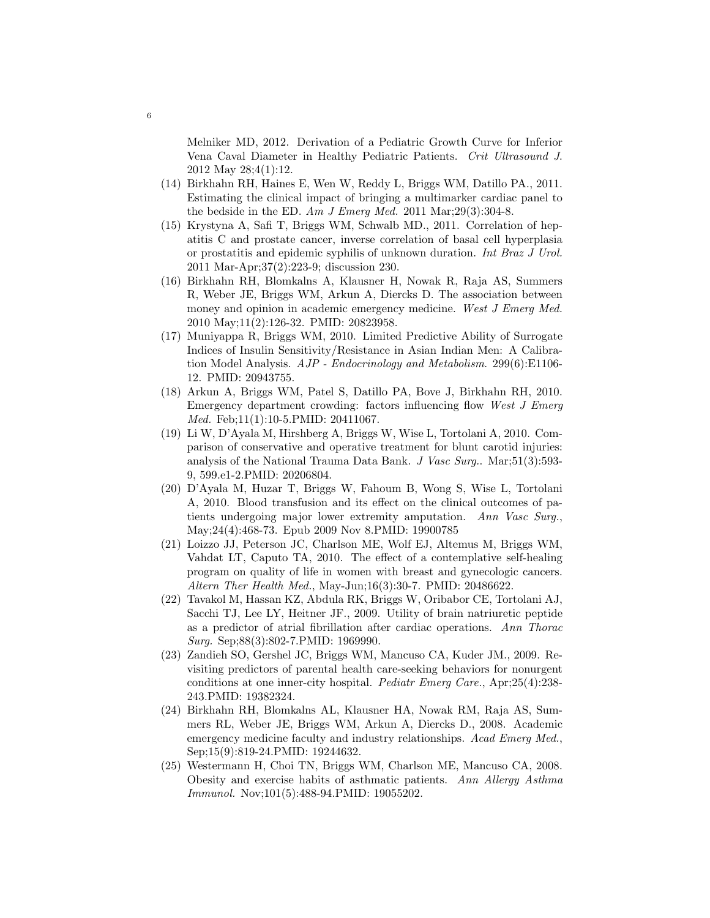Melniker MD, 2012. Derivation of a Pediatric Growth Curve for Inferior Vena Caval Diameter in Healthy Pediatric Patients. Crit Ultrasound J. 2012 May 28;4(1):12.

- (14) Birkhahn RH, Haines E, Wen W, Reddy L, Briggs WM, Datillo PA., 2011. Estimating the clinical impact of bringing a multimarker cardiac panel to the bedside in the ED. Am J Emerg Med. 2011 Mar;  $29(3)$ : 304-8.
- (15) Krystyna A, Safi T, Briggs WM, Schwalb MD., 2011. Correlation of hepatitis C and prostate cancer, inverse correlation of basal cell hyperplasia or prostatitis and epidemic syphilis of unknown duration. Int Braz J Urol. 2011 Mar-Apr;37(2):223-9; discussion 230.
- (16) Birkhahn RH, Blomkalns A, Klausner H, Nowak R, Raja AS, Summers R, Weber JE, Briggs WM, Arkun A, Diercks D. The association between money and opinion in academic emergency medicine. West J Emerg Med. 2010 May;11(2):126-32. PMID: 20823958.
- (17) Muniyappa R, Briggs WM, 2010. Limited Predictive Ability of Surrogate Indices of Insulin Sensitivity/Resistance in Asian Indian Men: A Calibration Model Analysis.  $AJP$  - Endocrinology and Metabolism. 299(6):E1106-12. PMID: 20943755.
- (18) Arkun A, Briggs WM, Patel S, Datillo PA, Bove J, Birkhahn RH, 2010. Emergency department crowding: factors influencing flow West J Emerg Med. Feb;11(1):10-5.PMID: 20411067.
- (19) Li W, D'Ayala M, Hirshberg A, Briggs W, Wise L, Tortolani A, 2010. Comparison of conservative and operative treatment for blunt carotid injuries: analysis of the National Trauma Data Bank. J Vasc Surg.. Mar;51(3):593- 9, 599.e1-2.PMID: 20206804.
- (20) D'Ayala M, Huzar T, Briggs W, Fahoum B, Wong S, Wise L, Tortolani A, 2010. Blood transfusion and its effect on the clinical outcomes of patients undergoing major lower extremity amputation. Ann Vasc Surg., May;24(4):468-73. Epub 2009 Nov 8.PMID: 19900785
- (21) Loizzo JJ, Peterson JC, Charlson ME, Wolf EJ, Altemus M, Briggs WM, Vahdat LT, Caputo TA, 2010. The effect of a contemplative self-healing program on quality of life in women with breast and gynecologic cancers. Altern Ther Health Med., May-Jun;16(3):30-7. PMID: 20486622.
- (22) Tavakol M, Hassan KZ, Abdula RK, Briggs W, Oribabor CE, Tortolani AJ, Sacchi TJ, Lee LY, Heitner JF., 2009. Utility of brain natriuretic peptide as a predictor of atrial fibrillation after cardiac operations. Ann Thorac Surg. Sep;88(3):802-7.PMID: 1969990.
- (23) Zandieh SO, Gershel JC, Briggs WM, Mancuso CA, Kuder JM., 2009. Revisiting predictors of parental health care-seeking behaviors for nonurgent conditions at one inner-city hospital. Pediatr Emerg Care., Apr;25(4):238- 243.PMID: 19382324.
- (24) Birkhahn RH, Blomkalns AL, Klausner HA, Nowak RM, Raja AS, Summers RL, Weber JE, Briggs WM, Arkun A, Diercks D., 2008. Academic emergency medicine faculty and industry relationships. Acad Emerg Med., Sep;15(9):819-24.PMID: 19244632.
- (25) Westermann H, Choi TN, Briggs WM, Charlson ME, Mancuso CA, 2008. Obesity and exercise habits of asthmatic patients. Ann Allergy Asthma Immunol. Nov;101(5):488-94.PMID: 19055202.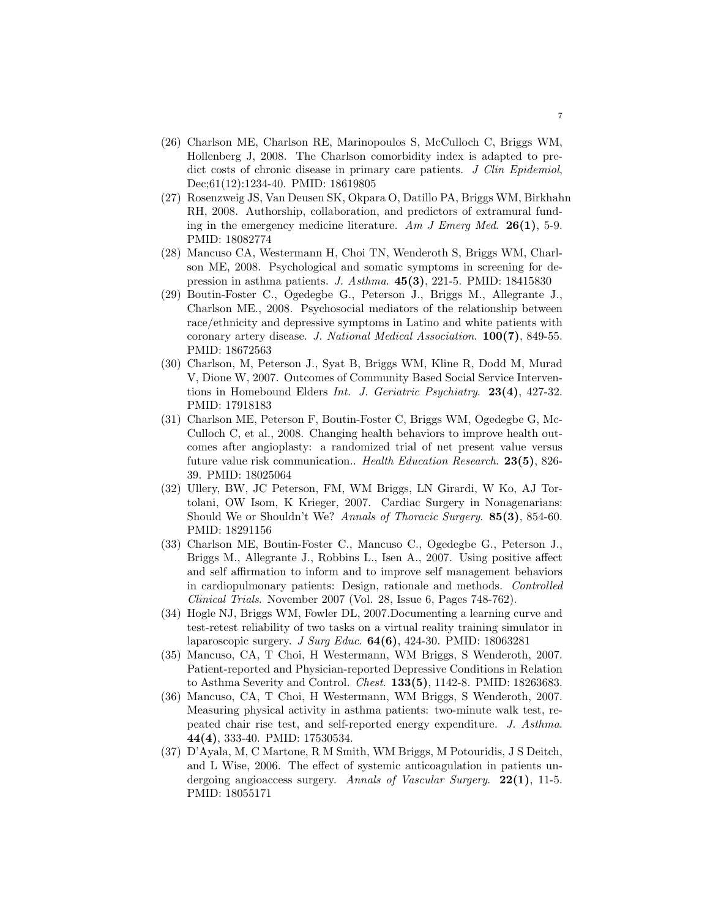- (26) Charlson ME, Charlson RE, Marinopoulos S, McCulloch C, Briggs WM, Hollenberg J, 2008. The Charlson comorbidity index is adapted to predict costs of chronic disease in primary care patients. J Clin Epidemiol, Dec;61(12):1234-40. PMID: 18619805
- (27) Rosenzweig JS, Van Deusen SK, Okpara O, Datillo PA, Briggs WM, Birkhahn RH, 2008. Authorship, collaboration, and predictors of extramural funding in the emergency medicine literature. Am J Emerg Med. 26(1), 5-9. PMID: 18082774
- (28) Mancuso CA, Westermann H, Choi TN, Wenderoth S, Briggs WM, Charlson ME, 2008. Psychological and somatic symptoms in screening for depression in asthma patients. J. Asthma.  $45(3)$ , 221-5. PMID: 18415830
- (29) Boutin-Foster C., Ogedegbe G., Peterson J., Briggs M., Allegrante J., Charlson ME., 2008. Psychosocial mediators of the relationship between race/ethnicity and depressive symptoms in Latino and white patients with coronary artery disease. J. National Medical Association. 100(7), 849-55. PMID: 18672563
- (30) Charlson, M, Peterson J., Syat B, Briggs WM, Kline R, Dodd M, Murad V, Dione W, 2007. Outcomes of Community Based Social Service Interventions in Homebound Elders Int. J. Geriatric Psychiatry.  $23(4)$ ,  $427-32$ . PMID: 17918183
- (31) Charlson ME, Peterson F, Boutin-Foster C, Briggs WM, Ogedegbe G, Mc-Culloch C, et al., 2008. Changing health behaviors to improve health outcomes after angioplasty: a randomized trial of net present value versus future value risk communication.. Health Education Research. 23(5), 826- 39. PMID: 18025064
- (32) Ullery, BW, JC Peterson, FM, WM Briggs, LN Girardi, W Ko, AJ Tortolani, OW Isom, K Krieger, 2007. Cardiac Surgery in Nonagenarians: Should We or Shouldn't We? Annals of Thoracic Surgery. **85(3)**, 854-60. PMID: 18291156
- (33) Charlson ME, Boutin-Foster C., Mancuso C., Ogedegbe G., Peterson J., Briggs M., Allegrante J., Robbins L., Isen A., 2007. Using positive affect and self affirmation to inform and to improve self management behaviors in cardiopulmonary patients: Design, rationale and methods. Controlled Clinical Trials. November 2007 (Vol. 28, Issue 6, Pages 748-762).
- (34) Hogle NJ, Briggs WM, Fowler DL, 2007.Documenting a learning curve and test-retest reliability of two tasks on a virtual reality training simulator in laparoscopic surgery. J Surg Educ.  $64(6)$ , 424-30. PMID: 18063281
- (35) Mancuso, CA, T Choi, H Westermann, WM Briggs, S Wenderoth, 2007. Patient-reported and Physician-reported Depressive Conditions in Relation to Asthma Severity and Control. Chest. 133(5), 1142-8. PMID: 18263683.
- (36) Mancuso, CA, T Choi, H Westermann, WM Briggs, S Wenderoth, 2007. Measuring physical activity in asthma patients: two-minute walk test, repeated chair rise test, and self-reported energy expenditure. J. Asthma. 44(4), 333-40. PMID: 17530534.
- (37) D'Ayala, M, C Martone, R M Smith, WM Briggs, M Potouridis, J S Deitch, and L Wise, 2006. The effect of systemic anticoagulation in patients undergoing angioaccess surgery. Annals of Vascular Surgery.  $22(1)$ , 11-5. PMID: 18055171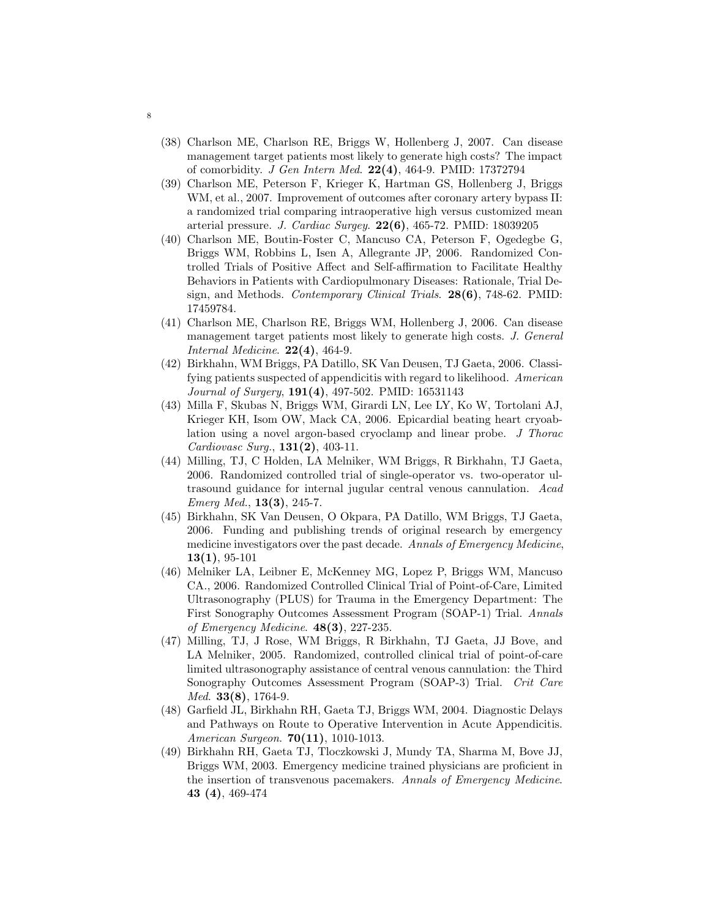- (38) Charlson ME, Charlson RE, Briggs W, Hollenberg J, 2007. Can disease management target patients most likely to generate high costs? The impact of comorbidity. J Gen Intern Med. 22(4), 464-9. PMID: 17372794
- (39) Charlson ME, Peterson F, Krieger K, Hartman GS, Hollenberg J, Briggs WM, et al., 2007. Improvement of outcomes after coronary artery bypass II: a randomized trial comparing intraoperative high versus customized mean arterial pressure. J. Cardiac Surgey. 22(6), 465-72. PMID: 18039205
- (40) Charlson ME, Boutin-Foster C, Mancuso CA, Peterson F, Ogedegbe G, Briggs WM, Robbins L, Isen A, Allegrante JP, 2006. Randomized Controlled Trials of Positive Affect and Self-affirmation to Facilitate Healthy Behaviors in Patients with Cardiopulmonary Diseases: Rationale, Trial Design, and Methods. *Contemporary Clinical Trials.*  $28(6)$ , 748-62. PMID: 17459784.
- (41) Charlson ME, Charlson RE, Briggs WM, Hollenberg J, 2006. Can disease management target patients most likely to generate high costs. J. General Internal Medicine.  $22(4)$ , 464-9.
- (42) Birkhahn, WM Briggs, PA Datillo, SK Van Deusen, TJ Gaeta, 2006. Classifying patients suspected of appendicitis with regard to likelihood. American Journal of Surgery, 191(4), 497-502. PMID: 16531143
- (43) Milla F, Skubas N, Briggs WM, Girardi LN, Lee LY, Ko W, Tortolani AJ, Krieger KH, Isom OW, Mack CA, 2006. Epicardial beating heart cryoablation using a novel argon-based cryoclamp and linear probe. J Thorac Cardiovasc Surg., 131(2), 403-11.
- (44) Milling, TJ, C Holden, LA Melniker, WM Briggs, R Birkhahn, TJ Gaeta, 2006. Randomized controlled trial of single-operator vs. two-operator ultrasound guidance for internal jugular central venous cannulation. Acad Emerg Med., 13(3), 245-7.
- (45) Birkhahn, SK Van Deusen, O Okpara, PA Datillo, WM Briggs, TJ Gaeta, 2006. Funding and publishing trends of original research by emergency medicine investigators over the past decade. Annals of Emergency Medicine,  $13(1), 95-101$
- (46) Melniker LA, Leibner E, McKenney MG, Lopez P, Briggs WM, Mancuso CA., 2006. Randomized Controlled Clinical Trial of Point-of-Care, Limited Ultrasonography (PLUS) for Trauma in the Emergency Department: The First Sonography Outcomes Assessment Program (SOAP-1) Trial. Annals of Emergency Medicine. 48(3), 227-235.
- (47) Milling, TJ, J Rose, WM Briggs, R Birkhahn, TJ Gaeta, JJ Bove, and LA Melniker, 2005. Randomized, controlled clinical trial of point-of-care limited ultrasonography assistance of central venous cannulation: the Third Sonography Outcomes Assessment Program (SOAP-3) Trial. Crit Care Med. 33(8), 1764-9.
- (48) Garfield JL, Birkhahn RH, Gaeta TJ, Briggs WM, 2004. Diagnostic Delays and Pathways on Route to Operative Intervention in Acute Appendicitis. American Surgeon. 70(11), 1010-1013.
- (49) Birkhahn RH, Gaeta TJ, Tloczkowski J, Mundy TA, Sharma M, Bove JJ, Briggs WM, 2003. Emergency medicine trained physicians are proficient in the insertion of transvenous pacemakers. Annals of Emergency Medicine. 43 (4), 469-474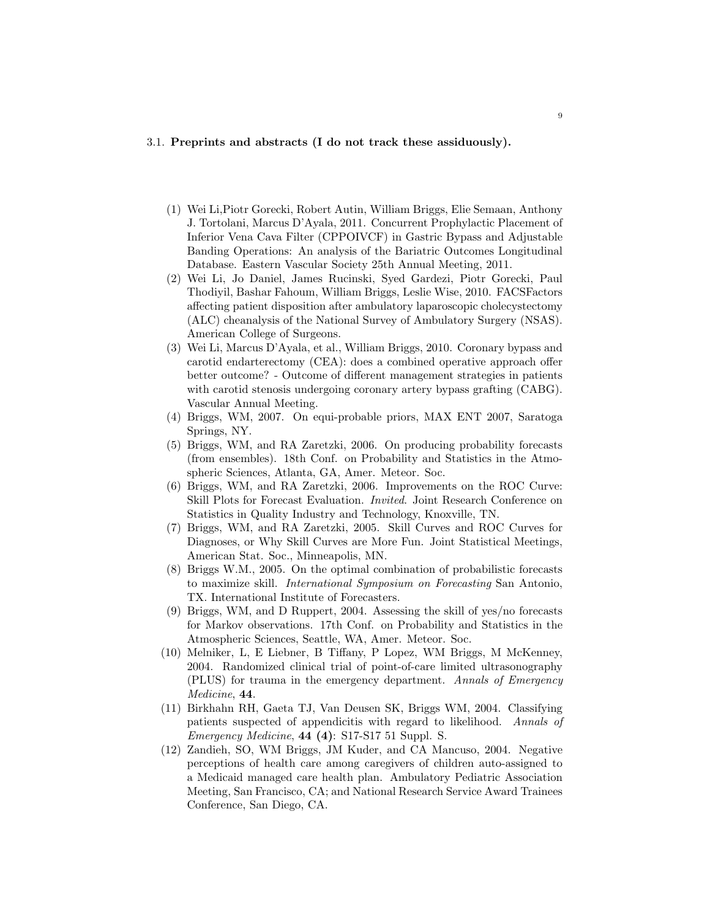# 3.1. Preprints and abstracts (I do not track these assiduously).

- (1) Wei Li,Piotr Gorecki, Robert Autin, William Briggs, Elie Semaan, Anthony J. Tortolani, Marcus D'Ayala, 2011. Concurrent Prophylactic Placement of Inferior Vena Cava Filter (CPPOIVCF) in Gastric Bypass and Adjustable Banding Operations: An analysis of the Bariatric Outcomes Longitudinal Database. Eastern Vascular Society 25th Annual Meeting, 2011.
- (2) Wei Li, Jo Daniel, James Rucinski, Syed Gardezi, Piotr Gorecki, Paul Thodiyil, Bashar Fahoum, William Briggs, Leslie Wise, 2010. FACSFactors affecting patient disposition after ambulatory laparoscopic cholecystectomy (ALC) cheanalysis of the National Survey of Ambulatory Surgery (NSAS). American College of Surgeons.
- (3) Wei Li, Marcus D'Ayala, et al., William Briggs, 2010. Coronary bypass and carotid endarterectomy (CEA): does a combined operative approach offer better outcome? - Outcome of different management strategies in patients with carotid stenosis undergoing coronary artery bypass grafting (CABG). Vascular Annual Meeting.
- (4) Briggs, WM, 2007. On equi-probable priors, MAX ENT 2007, Saratoga Springs, NY.
- (5) Briggs, WM, and RA Zaretzki, 2006. On producing probability forecasts (from ensembles). 18th Conf. on Probability and Statistics in the Atmospheric Sciences, Atlanta, GA, Amer. Meteor. Soc.
- (6) Briggs, WM, and RA Zaretzki, 2006. Improvements on the ROC Curve: Skill Plots for Forecast Evaluation. Invited. Joint Research Conference on Statistics in Quality Industry and Technology, Knoxville, TN.
- (7) Briggs, WM, and RA Zaretzki, 2005. Skill Curves and ROC Curves for Diagnoses, or Why Skill Curves are More Fun. Joint Statistical Meetings, American Stat. Soc., Minneapolis, MN.
- (8) Briggs W.M., 2005. On the optimal combination of probabilistic forecasts to maximize skill. International Symposium on Forecasting San Antonio, TX. International Institute of Forecasters.
- (9) Briggs, WM, and D Ruppert, 2004. Assessing the skill of yes/no forecasts for Markov observations. 17th Conf. on Probability and Statistics in the Atmospheric Sciences, Seattle, WA, Amer. Meteor. Soc.
- (10) Melniker, L, E Liebner, B Tiffany, P Lopez, WM Briggs, M McKenney, 2004. Randomized clinical trial of point-of-care limited ultrasonography (PLUS) for trauma in the emergency department. Annals of Emergency Medicine, 44.
- (11) Birkhahn RH, Gaeta TJ, Van Deusen SK, Briggs WM, 2004. Classifying patients suspected of appendicitis with regard to likelihood. Annals of Emergency Medicine, 44 (4): S17-S17 51 Suppl. S.
- (12) Zandieh, SO, WM Briggs, JM Kuder, and CA Mancuso, 2004. Negative perceptions of health care among caregivers of children auto-assigned to a Medicaid managed care health plan. Ambulatory Pediatric Association Meeting, San Francisco, CA; and National Research Service Award Trainees Conference, San Diego, CA.